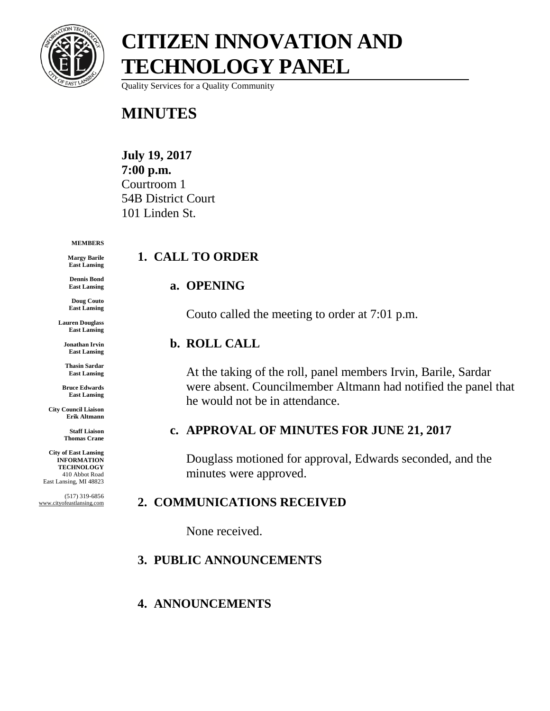

Quality Services for a Quality Community

### **MINUTES**

**July 19, 2017 7:00 p.m.** Courtroom 1 54B District Court 101 Linden St.

#### **MEMBERS**

**Margy Barile East Lansing**

**Dennis Bond East Lansing**

**Doug Couto East Lansing**

**Lauren Douglass East Lansing**

**Jonathan Irvin East Lansing**

**Thasin Sardar East Lansing**

**Bruce Edwards East Lansing**

**City Council Liaison Erik Altmann**

> **Staff Liaison Thomas Crane**

**City of East Lansing INFORMATION TECHNOLOGY** 410 Abbot Road East Lansing, MI 48823

(517) 319-6856 www.cityofeastlansing.com

### **1. CALL TO ORDER**

#### **a. OPENING**

Couto called the meeting to order at 7:01 p.m.

#### **b. ROLL CALL**

At the taking of the roll, panel members Irvin, Barile, Sardar were absent. Councilmember Altmann had notified the panel that he would not be in attendance.

### **c. APPROVAL OF MINUTES FOR JUNE 21, 2017**

Douglass motioned for approval, Edwards seconded, and the minutes were approved.

### **2. COMMUNICATIONS RECEIVED**

None received.

### **3. PUBLIC ANNOUNCEMENTS**

### **4. ANNOUNCEMENTS**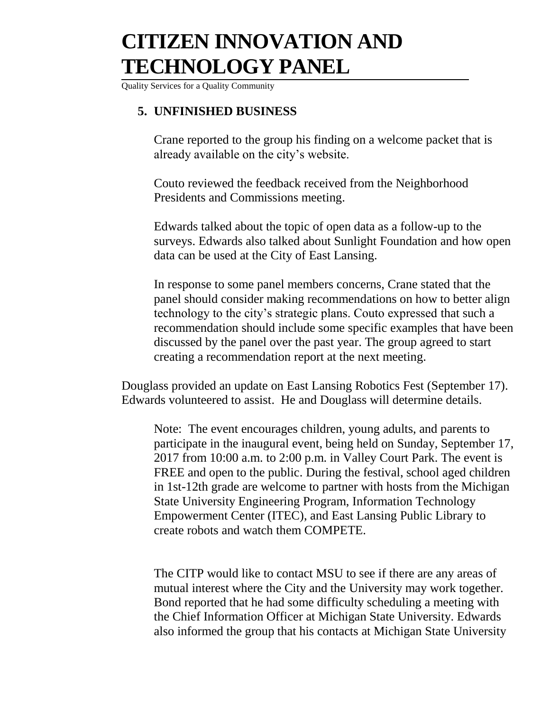Quality Services for a Quality Community

### **5. UNFINISHED BUSINESS**

Crane reported to the group his finding on a welcome packet that is already available on the city's website.

Couto reviewed the feedback received from the Neighborhood Presidents and Commissions meeting.

Edwards talked about the topic of open data as a follow-up to the surveys. Edwards also talked about Sunlight Foundation and how open data can be used at the City of East Lansing.

In response to some panel members concerns, Crane stated that the panel should consider making recommendations on how to better align technology to the city's strategic plans. Couto expressed that such a recommendation should include some specific examples that have been discussed by the panel over the past year. The group agreed to start creating a recommendation report at the next meeting.

Douglass provided an update on East Lansing Robotics Fest (September 17). Edwards volunteered to assist. He and Douglass will determine details.

Note: The event encourages children, young adults, and parents to participate in the inaugural event, being held on Sunday, September 17, 2017 from 10:00 a.m. to 2:00 p.m. in Valley Court Park. The event is FREE and open to the public. During the festival, school aged children in 1st-12th grade are welcome to partner with hosts from the Michigan State University Engineering Program, Information Technology Empowerment Center (ITEC), and East Lansing Public Library to create robots and watch them COMPETE.

The CITP would like to contact MSU to see if there are any areas of mutual interest where the City and the University may work together. Bond reported that he had some difficulty scheduling a meeting with the Chief Information Officer at Michigan State University. Edwards also informed the group that his contacts at Michigan State University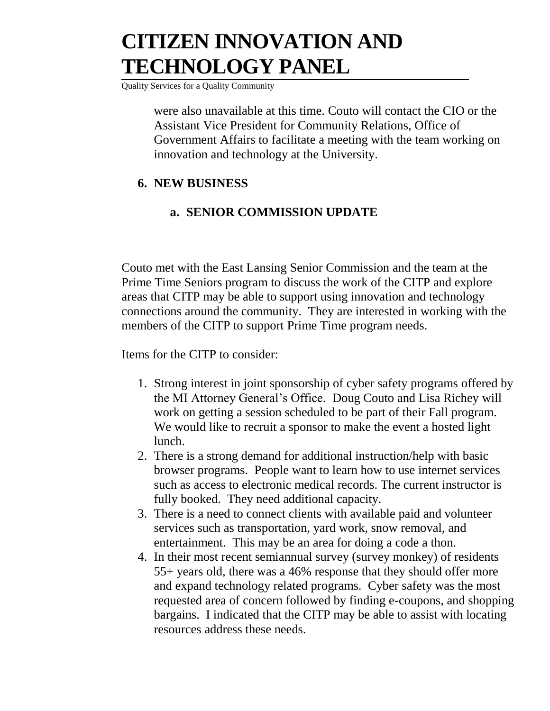Quality Services for a Quality Community

were also unavailable at this time. Couto will contact the CIO or the Assistant Vice President for Community Relations, Office of Government Affairs to facilitate a meeting with the team working on innovation and technology at the University.

### **6. NEW BUSINESS**

### **a. SENIOR COMMISSION UPDATE**

Couto met with the East Lansing Senior Commission and the team at the Prime Time Seniors program to discuss the work of the CITP and explore areas that CITP may be able to support using innovation and technology connections around the community. They are interested in working with the members of the CITP to support Prime Time program needs.

Items for the CITP to consider:

- 1. Strong interest in joint sponsorship of cyber safety programs offered by the MI Attorney General's Office. Doug Couto and Lisa Richey will work on getting a session scheduled to be part of their Fall program. We would like to recruit a sponsor to make the event a hosted light lunch.
- 2. There is a strong demand for additional instruction/help with basic browser programs. People want to learn how to use internet services such as access to electronic medical records. The current instructor is fully booked. They need additional capacity.
- 3. There is a need to connect clients with available paid and volunteer services such as transportation, yard work, snow removal, and entertainment. This may be an area for doing a code a thon.
- 4. In their most recent semiannual survey (survey monkey) of residents 55+ years old, there was a 46% response that they should offer more and expand technology related programs. Cyber safety was the most requested area of concern followed by finding e-coupons, and shopping bargains. I indicated that the CITP may be able to assist with locating resources address these needs.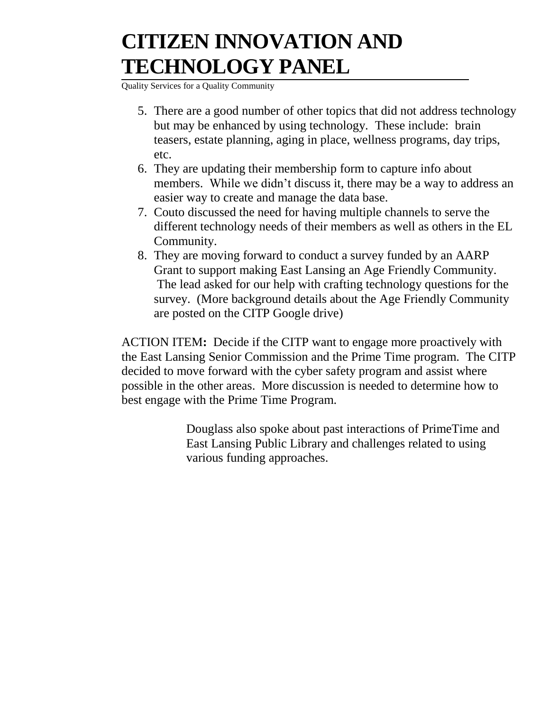Quality Services for a Quality Community

- 5. There are a good number of other topics that did not address technology but may be enhanced by using technology. These include: brain teasers, estate planning, aging in place, wellness programs, day trips, etc.
- 6. They are updating their membership form to capture info about members. While we didn't discuss it, there may be a way to address an easier way to create and manage the data base.
- 7. Couto discussed the need for having multiple channels to serve the different technology needs of their members as well as others in the EL Community.
- 8. They are moving forward to conduct a survey funded by an AARP Grant to support making East Lansing an Age Friendly Community. The lead asked for our help with crafting technology questions for the survey. (More background details about the Age Friendly Community are posted on the CITP Google drive)

ACTION ITEM**:** Decide if the CITP want to engage more proactively with the East Lansing Senior Commission and the Prime Time program. The CITP decided to move forward with the cyber safety program and assist where possible in the other areas. More discussion is needed to determine how to best engage with the Prime Time Program.

> Douglass also spoke about past interactions of PrimeTime and East Lansing Public Library and challenges related to using various funding approaches.